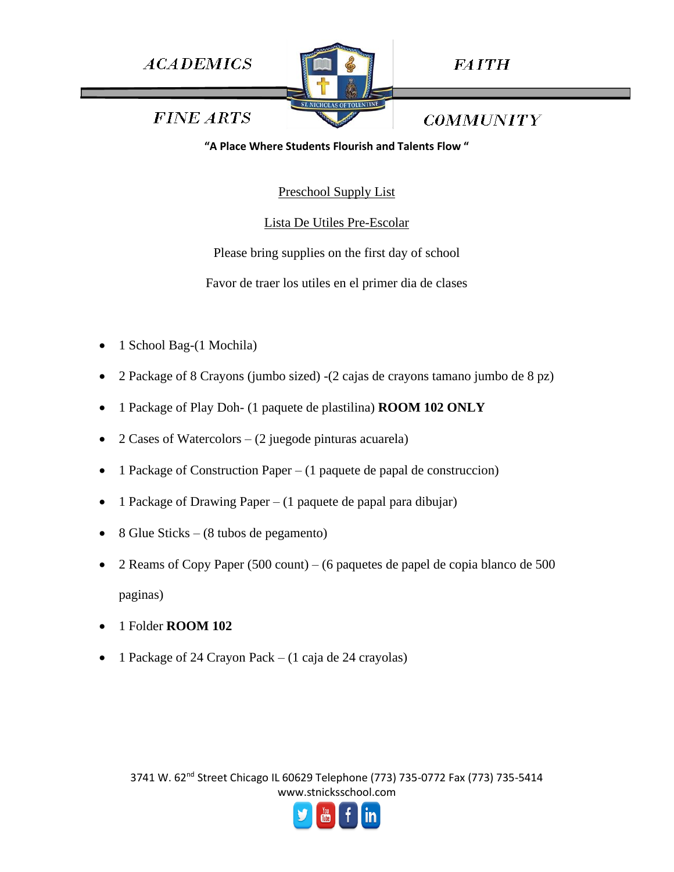

**FAITH** 

**FINE ARTS** 

**COMMUNITY** 

**"A Place Where Students Flourish and Talents Flow "**

Preschool Supply List

Lista De Utiles Pre-Escolar

Please bring supplies on the first day of school

Favor de traer los utiles en el primer dia de clases

- 1 School Bag-(1 Mochila)
- 2 Package of 8 Crayons (jumbo sized) -(2 cajas de crayons tamano jumbo de 8 pz)
- 1 Package of Play Doh- (1 paquete de plastilina) **ROOM 102 ONLY**
- 2 Cases of Watercolors (2 juegode pinturas acuarela)
- 1 Package of Construction Paper  $(1)$  paquete de papal de construccion)
- 1 Package of Drawing Paper (1 paquete de papal para dibujar)
- 8 Glue Sticks (8 tubos de pegamento)
- 2 Reams of Copy Paper (500 count) (6 paquetes de papel de copia blanco de 500 paginas)
- 1 Folder **ROOM 102**
- 1 Package of 24 Crayon Pack (1 caja de 24 crayolas)

3741 W. 62<sup>nd</sup> Street Chicago IL 60629 Telephone (773) 735-0772 Fax (773) 735-5414 www.stnicksschool.com